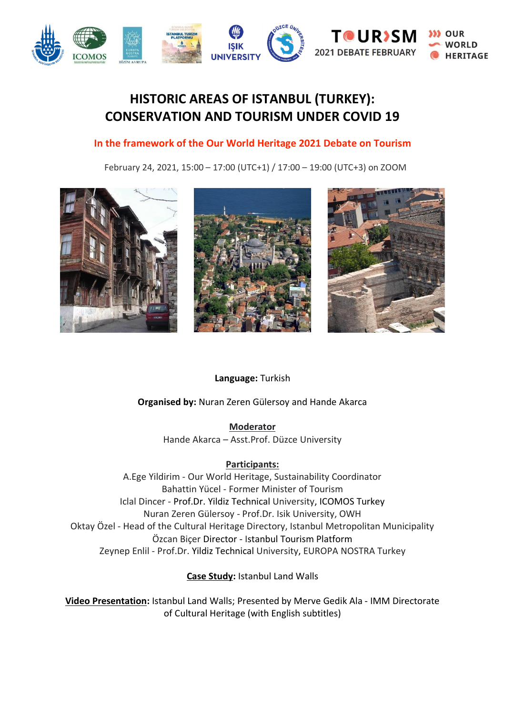

# **HISTORIC AREAS OF ISTANBUL (TURKEY): CONSERVATION AND TOURISM UNDER COVID 19**

## **In the framework of the Our World Heritage 2021 Debate on Tourism**

February 24, 2021, 15:00 – 17:00 (UTC+1) / 17:00 – 19:00 (UTC+3) on ZOOM



### **Language:** Turkish

### **Organised by:** Nuran Zeren Gülersoy and Hande Akarca

**Moderator** Hande Akarca – Asst.Prof. Düzce University

### **Participants:**

A.Ege Yildirim - Our World Heritage, Sustainability Coordinator Bahattin Yücel - Former Minister of Tourism Iclal Dincer - Prof.Dr. Yildiz Technical University, ICOMOS Turkey Nuran Zeren Gülersoy - Prof.Dr. Isik University, OWH Oktay Özel - Head of the Cultural Heritage Directory, Istanbul Metropolitan Municipality Özcan Biçer Director - Istanbul Tourism Platform Zeynep Enlil - Prof.Dr. Yildiz Technical University, EUROPA NOSTRA Turkey

**Case Study:** Istanbul Land Walls

**Video Presentation:** Istanbul Land Walls; Presented by Merve Gedik Ala - IMM Directorate of Cultural Heritage (with English subtitles)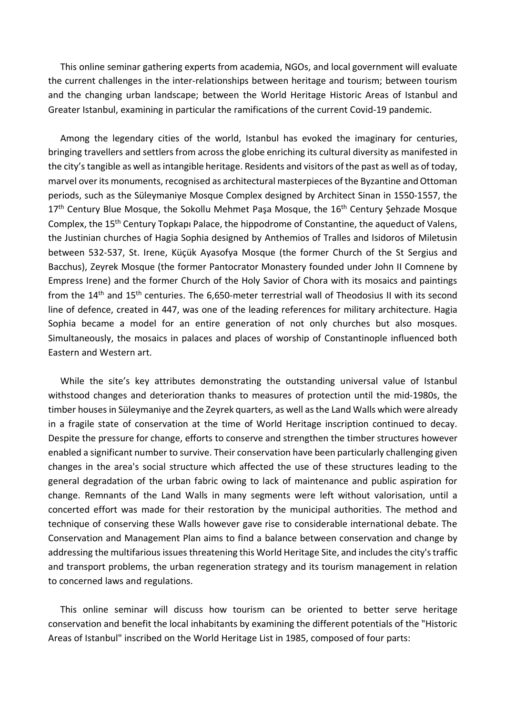This online seminar gathering experts from academia, NGOs, and local government will evaluate the current challenges in the inter-relationships between heritage and tourism; between tourism and the changing urban landscape; between the World Heritage Historic Areas of Istanbul and Greater Istanbul, examining in particular the ramifications of the current Covid-19 pandemic.

Among the legendary cities of the world, Istanbul has evoked the imaginary for centuries, bringing travellers and settlers from across the globe enriching its cultural diversity as manifested in the city's tangible as well as intangible heritage. Residents and visitors of the past as well as of today, marvel over its monuments, recognised as architectural masterpieces of the Byzantine and Ottoman periods, such as the Süleymaniye Mosque Complex designed by Architect Sinan in 1550-1557, the 17<sup>th</sup> Century Blue Mosque, the Sokollu Mehmet Paşa Mosque, the 16<sup>th</sup> Century Şehzade Mosque Complex, the 15th Century Topkapı Palace, the hippodrome of Constantine, the aqueduct of Valens, the Justinian churches of Hagia Sophia designed by Anthemios of Tralles and Isidoros of Miletusin between 532-537, St. Irene, Küçük Ayasofya Mosque (the former Church of the St Sergius and Bacchus), Zeyrek Mosque (the former Pantocrator Monastery founded under John II Comnene by Empress Irene) and the former Church of the Holy Savior of Chora with its mosaics and paintings from the 14<sup>th</sup> and 15<sup>th</sup> centuries. The 6,650-meter terrestrial wall of Theodosius II with its second line of defence, created in 447, was one of the leading references for military architecture. Hagia Sophia became a model for an entire generation of not only churches but also mosques. Simultaneously, the mosaics in palaces and places of worship of Constantinople influenced both Eastern and Western art.

While the site's key attributes demonstrating the outstanding universal value of Istanbul withstood changes and deterioration thanks to measures of protection until the mid-1980s, the timber houses in Süleymaniye and the Zeyrek quarters, as well as the Land Walls which were already in a fragile state of conservation at the time of World Heritage inscription continued to decay. Despite the pressure for change, efforts to conserve and strengthen the timber structures however enabled a significant number to survive. Their conservation have been particularly challenging given changes in the area's social structure which affected the use of these structures leading to the general degradation of the urban fabric owing to lack of maintenance and public aspiration for change. Remnants of the Land Walls in many segments were left without valorisation, until a concerted effort was made for their restoration by the municipal authorities. The method and technique of conserving these Walls however gave rise to considerable international debate. The Conservation and Management Plan aims to find a balance between conservation and change by addressing the multifarious issues threatening this World Heritage Site, and includes the city's traffic and transport problems, the urban regeneration strategy and its tourism management in relation to concerned laws and regulations.

This online seminar will discuss how tourism can be oriented to better serve heritage conservation and benefit the local inhabitants by examining the different potentials of the "Historic Areas of Istanbul" inscribed on the World Heritage List in 1985, composed of four parts: